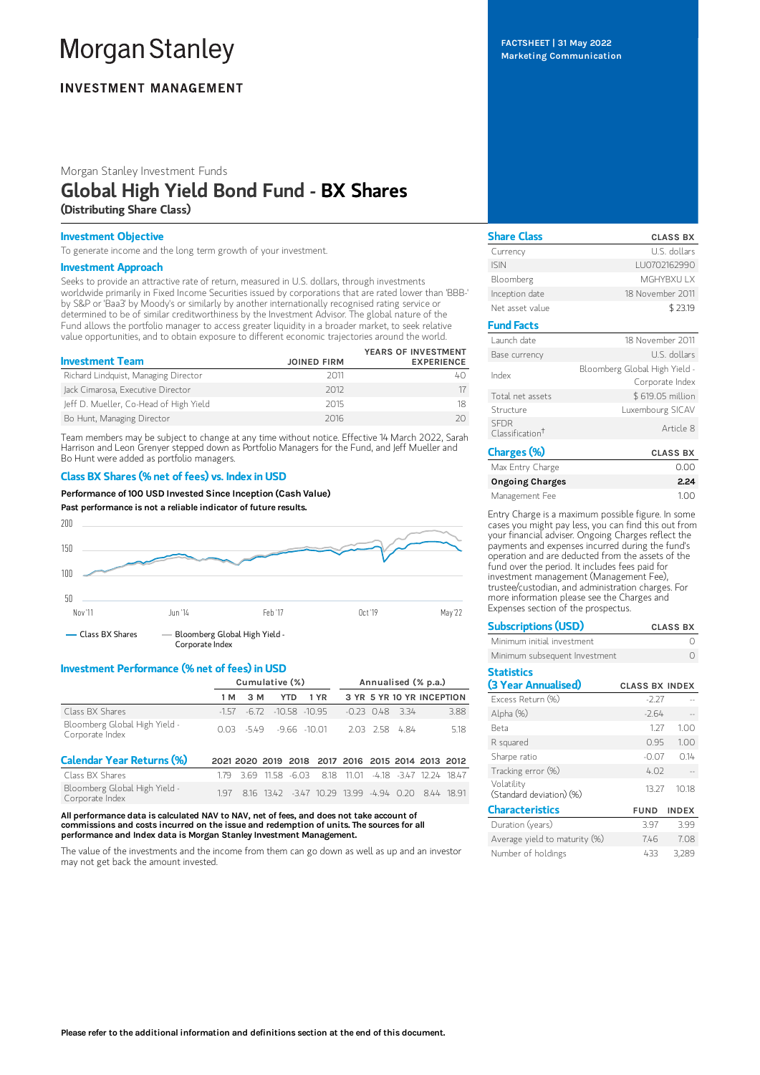# **Morgan Stanley**

## **INVESTMENT MANAGEMENT**

Morgan Stanley Investment Funds

# Global High Yield Bond Fund - BX Shares (Distributing Share Class)

#### Investment Objective

To generate income and the long term growth of your investment.

#### Investment Approach

Seeks to provide an attractive rate of return, measured in U.S. dollars, through investments worldwide primarily in Fixed Income Securities issued by corporations that are rated lower than 'BBB-' by S&P or 'Baa3' by Moody's or similarly by another internationally recognised rating service or determined to be of similar creditworthiness by the Investment Advisor. The global nature of the Fund allows the portfolio manager to access greater liquidity in a broader market, to seek relative value opportunities, and to obtain exposure to different economic trajectories around the world.

| <b>Investment Team</b>                 | <b>JOINED FIRM</b> | YEARS OF INVESTMENT<br><b>EXPERIENCE</b> |
|----------------------------------------|--------------------|------------------------------------------|
| Richard Lindquist, Managing Director   | 2011               |                                          |
| Jack Cimarosa, Executive Director      | 2012               |                                          |
| Jeff D. Mueller, Co-Head of High Yield | 2015               |                                          |
| Bo Hunt, Managing Director             | 2016               |                                          |

Team members may be subject to change at any time without notice. Effective 14 March 2022, Sarah Harrison and Leon Grenyer stepped down as Portfolio Managers for the Fund, and Jeff Mueller and Bo Hunt were added as portfolio managers.

#### Class BX Shares (% net of fees) vs. Index in USD

Performance of 100 USD Invested Since Inception (Cash Value)

Past performance is not a reliable indicator of future results.



#### Investment Performance (% net of fees) in USD

Corporate Index

|                                                  | Cumulative (%) |                          |       | Annualised (% p.a.) |                                                    |       |  |                       |                           |      |
|--------------------------------------------------|----------------|--------------------------|-------|---------------------|----------------------------------------------------|-------|--|-----------------------|---------------------------|------|
|                                                  | 1 M            | 3 M                      |       | <b>YTD</b>          | 1 YR                                               |       |  |                       | 3 YR 5 YR 10 YR INCEPTION |      |
| Class BX Shares                                  | $-157$         | $-6.72$                  |       | $-10.58 - 10.95$    |                                                    |       |  | $-0.23$ $0.48$ $3.34$ |                           | 3.88 |
| Bloomberg Global High Yield -<br>Corporate Index |                | $0.03 -549 -9.66 -10.01$ |       |                     |                                                    |       |  | 2.03 2.58 4.84        |                           | 5.18 |
| <b>Calendar Year Returns (%)</b>                 |                |                          |       |                     | 2021 2020 2019 2018 2017 2016 2015 2014 2013 2012  |       |  |                       |                           |      |
| Class BX Shares                                  | 179.           | 369                      | 11.58 | $-6.03$             | 8.18                                               | 11 01 |  |                       | -4.18 -3.47 12.24 18.47   |      |
| Bloomberg Global High Yield -                    | 1.97           |                          |       |                     | 8.16 13.42 -3.47 10.29 13.99 -4.94 0.20 8.44 18.91 |       |  |                       |                           |      |

All performance data is calculated NAV to NAV, net of fees, and does not take account of commissions and costs incurred on the issue and redemption of units. The sources for all performance and Index data is Morgan Stanley Investment Management.

The value of the investments and the income from them can go down as well as up and an investor may not get back the amount invested.

FACTSHEET | 31 May 2022 Marketing Communication

| <b>Share Class</b>                         | <b>CLASS BX</b>                                  |
|--------------------------------------------|--------------------------------------------------|
| Currency                                   | U.S. dollars                                     |
| <b>ISIN</b>                                | LU0702162990                                     |
| Bloomberg                                  | MGHYBXU I X                                      |
| Inception date                             | 18 November 2011                                 |
| Net asset value                            | \$23.19                                          |
| <b>Fund Facts</b>                          |                                                  |
| Launch date                                | 18 November 2011                                 |
| Base currency                              | U.S. dollars                                     |
| Index                                      | Bloomberg Global High Yield -<br>Corporate Index |
| Total net assets                           | \$619.05 million                                 |
| Structure                                  | Luxembourg SICAV                                 |
| <b>SFDR</b><br>Classification <sup>+</sup> | Article 8                                        |
| Charges (%)                                | <b>CLASS BX</b>                                  |

| Max Entry Charge       | n nn |
|------------------------|------|
| <b>Ongoing Charges</b> | 2.24 |
| Management Fee         | 100  |

Entry Charge is a maximum possible figure. In some cases you might pay less, you can find this out from your financial adviser. Ongoing Charges reflect the payments and expenses incurred during the fund's operation and are deducted from the assets of the fund over the period. It includes fees paid for investment management (Management Fee), trustee/custodian, and administration charges. For more information please see the Charges and Expenses section of the prospectus.

| <b>Subscriptions (USD)</b>               |                       | <b>CLASS BX</b> |
|------------------------------------------|-----------------------|-----------------|
| Minimum initial investment               |                       |                 |
| Minimum subsequent Investment            |                       |                 |
| <b>Statistics</b><br>(3 Year Annualised) | <b>CLASS BX INDEX</b> |                 |
| Excess Return (%)                        | $-2.27$               |                 |
| Alpha (%)                                | $-2.64$               |                 |
| Beta                                     | 1 27                  | 1.00            |
| R squared                                | 0.95                  | 1.00            |
| Sharpe ratio                             | $-0.07$               | 0.14            |
| Tracking error (%)                       | 4.02                  |                 |
| Volatility                               | 17.77                 | 1010            |

| (Standard deviation) (%)      |             |              |
|-------------------------------|-------------|--------------|
| <b>Characteristics</b>        | <b>FUND</b> | <b>INDEX</b> |
| Duration (years)              | 397         | 399          |
| Average yield to maturity (%) | 746         | 708          |
| Number of holdings            | 433         | 3.289        |

13.27 10.18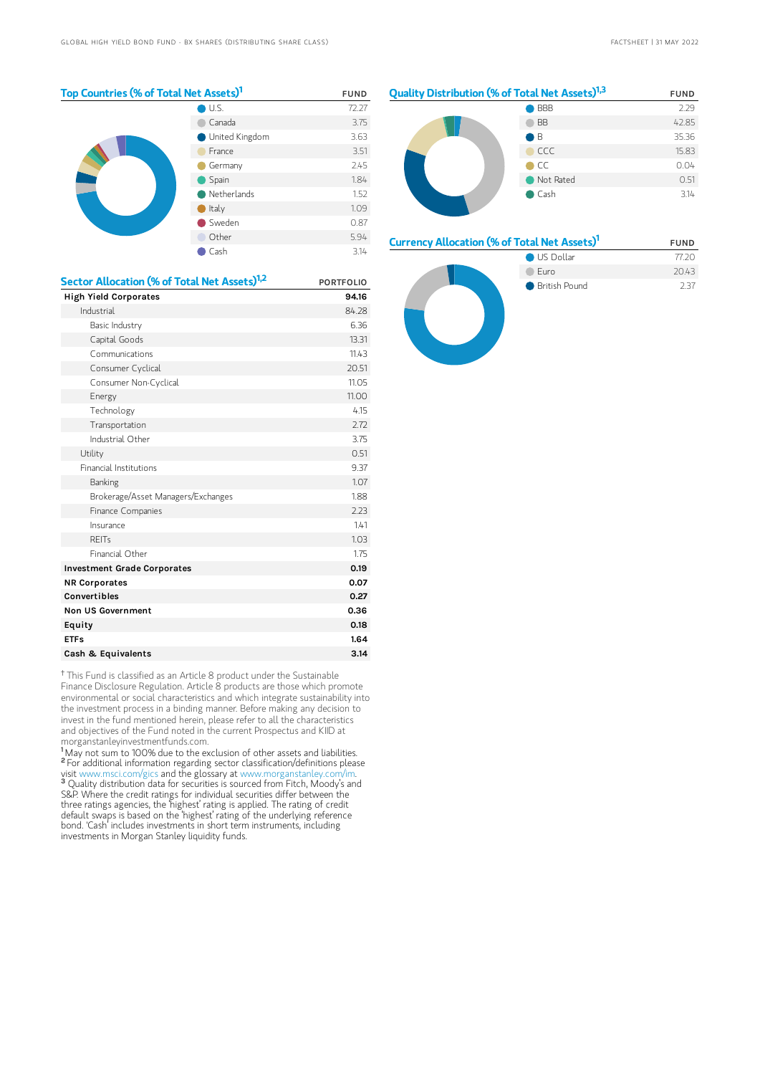| Top Countries (% of Total Net Assets) <sup>1</sup> |                | <b>FUND</b> |
|----------------------------------------------------|----------------|-------------|
|                                                    | U.S.           | 72.27       |
|                                                    | Canada         | 3.75        |
|                                                    | United Kingdom | 3.63        |
|                                                    | France         | 3.51        |
|                                                    | Germany        | 2.45        |
|                                                    | Spain          | 1.84        |
|                                                    | Netherlands    | 1.52        |
|                                                    | Italy          | 1.09        |
|                                                    | Sweden         | 0.87        |
|                                                    | Other          | 5.94        |
|                                                    | Cash           | 3.14        |



#### Currency Allocation (% of Total Net Assets)<sup>1</sup> FUND



<sup>†</sup> This Fund is classified as an Article 8 product under the Sustainable Finance Disclosure Regulation. Article 8 products are those which promote environmental or social characteristics and which integrate sustainability into the investment process in a binding manner. Before making any decision to invest in the fund mentioned herein, please refer to all the characteristics and objectives of the Fund noted in the current Prospectus and KIID at morganstanleyinvestmentfunds.com.

REITs **1.03** Financial Other 1.75 Investment Grade Corporates **0.19** 0.19 NR Corporates 0.07 Convertibles 0.27 Non US Government 0.36 Equity 0.18 ETFs 3.1.64 Cash & Equivalents 3.14

<sup>1</sup>May not sum to 100% due to the exclusion of other assets and liabilities. <sup>2</sup> For additional information regarding sector classification/definitions please visit www.msci.com/gics and the glossary at www.morganstanley.com/im. <sup>3</sup> Quality distribution data for securities is sourced from Fitch, Moody's and S&P. Where the credit ratings for individual securities differ between the three ratings agencies, the 'highest' rating is applied. The rating of credit default swaps is based on the 'highest' rating of the underlying reference bond. 'Cash' includes investments in short term instruments, including investments in Morgan Stanley liquidity funds.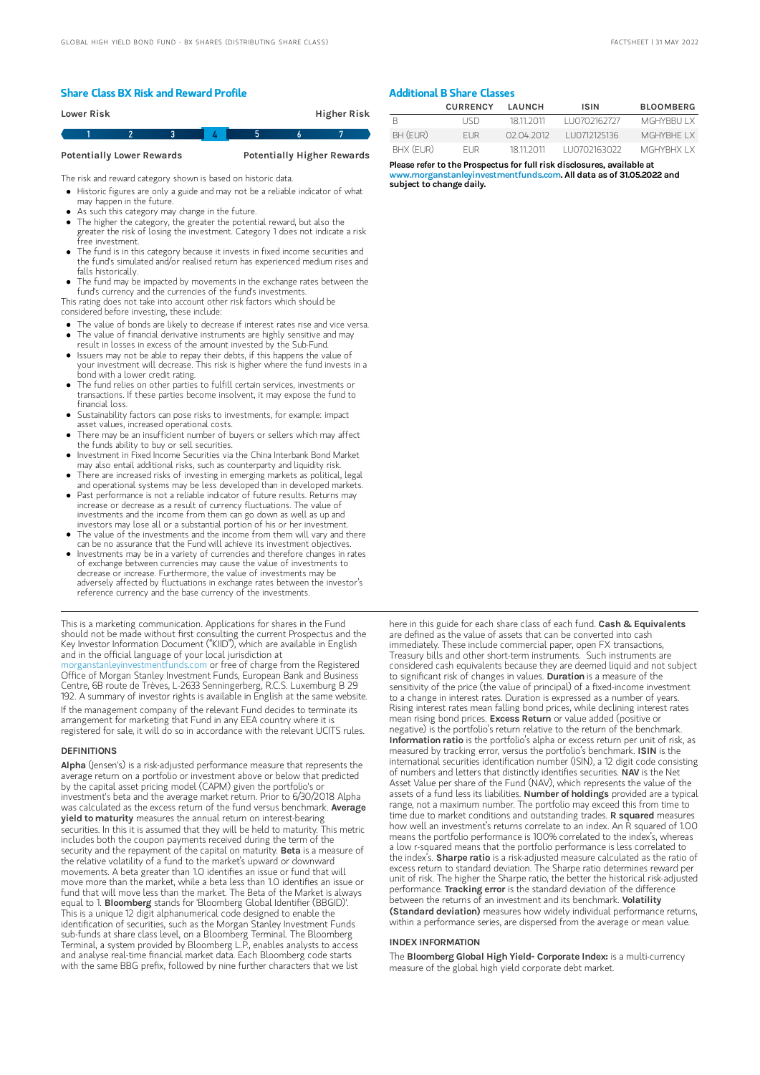#### Share Class BX Risk and Reward Profile

| Lower Risk |  |   | <b>Higher Risk</b> |  |
|------------|--|---|--------------------|--|
|            |  | ь |                    |  |

Potentially Lower Rewards Potentially Higher Rewards

The risk and reward category shown is based on historic data.

- Historic figures are only a guide and may not be a reliable indicator of what may happen in the future.
- As such this category may change in the future.
- The higher the category, the greater the potential reward, but also the greater the risk of losing the investment. Category 1 does not indicate a risk free investment.
- The fund is in this category because it invests in fixed income securities and the fund's simulated and/or realised return has experienced medium rises and falls historically.
- The fund may be impacted by movements in the exchange rates between the fund's currency and the currencies of the fund's investments.

This rating does not take into account other risk factors which should be considered before investing, these include:

- The value of bonds are likely to decrease if interest rates rise and vice versa.
- The value of financial derivative instruments are highly sensitive and may result in losses in excess of the amount invested by the Sub-Fund.
- Issuers may not be able to repay their debts, if this happens the value of
- your investment will decrease. This risk is higher where the fund invests in a bond with a lower credit rating.
- The fund relies on other parties to fulfill certain services, investments or transactions. If these parties become insolvent, it may expose the fund to financial loss.
- Sustainability factors can pose risks to investments, for example: impact asset values, increased operational costs.
- There may be an insufficient number of buyers or sellers which may affect the funds ability to buy or sell securities.
- Investment in Fixed Income Securities via the China Interbank Bond Market may also entail additional risks, such as counterparty and liquidity risk.
- There are increased risks of investing in emerging markets as political, legal and operational systems may be less developed than in developed markets. Past performance is not a reliable indicator of future results. Returns may
- increase or decrease as a result of currency fluctuations. The value of investments and the income from them can go down as well as up and investors may lose all or a substantial portion of his or her investment.
- The value of the investments and the income from them will vary and there can be no assurance that the Fund will achieve its investment objectives.
- $\bullet$ Investments may be in a variety of currencies and therefore changes in rates of exchange between currencies may cause the value of investments to decrease or increase. Furthermore, the value of investments may be adversely affected by fluctuations in exchange rates between the investor's reference currency and the base currency of the investments.

This is a marketing communication. Applications for shares in the Fund should not be made without first consulting the current Prospectus and the Key Investor Information Document ("KIID"), which are available in English and in the official language of your local jurisdiction at<br>morganstanleyinvestmentfunds.com or free of charge from the Registered [morganstanleyinvestmentfunds.com](https://www.morganstanley.com/im/msinvf/index.html) or free of charge from the Registered Office of Morgan Stanley Investment Funds, European Bank and Business Centre, 6B route de Trèves, L-2633 Senningerberg, R.C.S. Luxemburg B 29 192. A summary of investor rights is available in English at the same website. If the management company of the relevant Fund decides to terminate its arrangement for marketing that Fund in any EEA country where it is

registered for sale, it will do so in accordance with the relevant UCITS rules.

#### **DEFINITIONS**

Alpha (Jensen's) is a risk-adjusted performance measure that represents the average return on a portfolio or investment above or below that predicted by the capital asset pricing model (CAPM) given the portfolio's or investment's beta and the average market return. Prior to 6/30/2018 Alpha was calculated as the excess return of the fund versus benchmark. Average **yield to maturity** measures the annual return on interest-bearing securities. In this it is assumed that they will be held to maturity. This metric includes both the coupon payments received during the term of the<br>security and the repayment of the capital on maturity. **Beta** is a measure of the relative volatility of a fund to the market's upward or downward movements. A beta greater than 1.0 identifies an issue or fund that will move more than the market, while a beta less than 1.0 identifies an issue or fund that will move less than the market. The Beta of the Market is always equal to 1. Bloomberg stands for 'Bloomberg Global Identifier (BBGID)'. This is a unique 12 digit alphanumerical code designed to enable the identification of securities, such as the Morgan Stanley Investment Funds sub-funds at share class level, on a Bloomberg Terminal. The Bloomberg Terminal, a system provided by Bloomberg L.P., enables analysts to access and analyse real-time financial market data. Each Bloomberg code starts with the same BBG prefix, followed by nine further characters that we list

### Additional B Share Classes

|           | <b>CURRENCY</b> | I AUNCH    | <b>ISIN</b>   | <b>BLOOMBERG</b> |
|-----------|-----------------|------------|---------------|------------------|
|           | LISD.           | 18 11 2011 | 1110702162727 | MGHYBBULLX       |
| BH (EUR)  | <b>FUR</b>      | 02 04 2012 | 1110712125136 | MGHYRHE I X      |
| BHX (FUR) | FI JR           | 18 11 2011 | 1110702163022 | MGHYRHX I X      |

Please refer to the Prospectus for full risk disclosures, available at ww.morganstanleyinvestmentfunds.com. All data as of 31.05.2022 and subject to change daily.

here in this guide for each share class of each fund. Cash & Equivalents are defined as the value of assets that can be converted into cash immediately. These include commercial paper, open FX transactions, Treasury bills and other short-term instruments. Such instruments are considered cash equivalents because they are deemed liquid and not subject to significant risk of changes in values. Duration is a measure of the sensitivity of the price (the value of principal) of a fixed-income investment to a change in interest rates. Duration is expressed as a number of years. Rising interest rates mean falling bond prices, while declining interest rates mean rising bond prices. Excess Return or value added (positive or negative) is the portfolio's return relative to the return of the benchmark. Information ratio is the portfolio's alpha or excess return per unit of risk, as measured by tracking error, versus the portfolio's benchmark. ISIN is the international securities identification number (ISIN), a 12 digit code consisting of numbers and letters that distinctly identifies securities. NAV is the Net Asset Value per share of the Fund (NAV), which represents the value of the assets of a fund less its liabilities. Number of holdings provided are a typical range, not a maximum number. The portfolio may exceed this from time to time due to market conditions and outstanding trades. R squared measures how well an investment's returns correlate to an index. An R squared of 1.00 means the portfolio performance is 100% correlated to the index's, whereas a low r-squared means that the portfolio performance is less correlated to<br>the index's. **Sharpe ratio** is a risk-adjusted measure calculated as the ratio of excess return to standard deviation. The Sharpe ratio determines reward per unit of risk. The higher the Sharpe ratio, the better the historical risk-adjusted<br>performance. **Tracking error** is the standard deviation of the difference between the returns of an investment and its benchmark. Volatility (Standard deviation) measures how widely individual performance returns, within a performance series, are dispersed from the average or mean value.

#### INDEX INFORMATION

The Bloomberg Global High Yield- Corporate Index: is a multi-currency measure of the global high yield corporate debt market.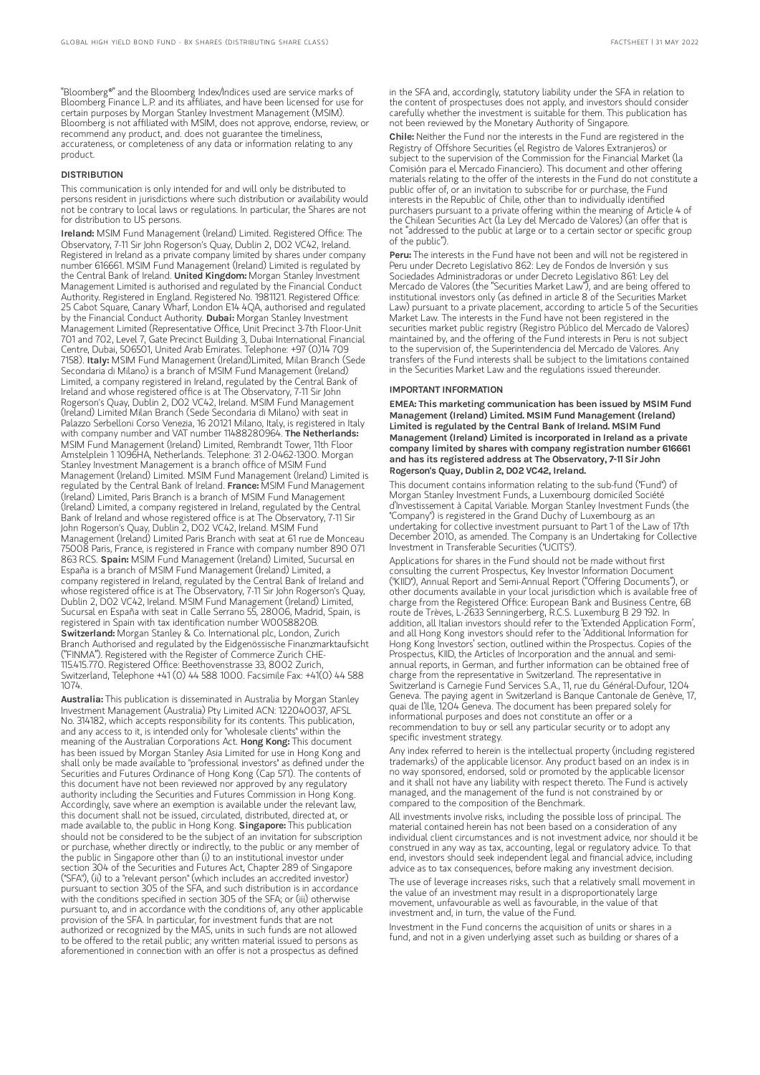"Bloomberg®" and the Bloomberg Index/Indices used are service marks of Bloomberg Finance L.P. and its affiliates, and have been licensed for use for certain purposes by Morgan Stanley Investment Management (MSIM). Bloomberg is not affiliated with MSIM, does not approve, endorse, review, or recommend any product, and. does not guarantee the timeliness, accurateness, or completeness of any data or information relating to any product.

#### DISTRIBUTION

This communication is only intended for and will only be distributed to persons resident in jurisdictions where such distribution or availability would not be contrary to local laws or regulations. In particular, the Shares are not for distribution to US persons.

Ireland: MSIM Fund Management (Ireland) Limited. Registered Office: The Observatory, 7-11 Sir John Rogerson's Quay, Dublin 2, D02 VC42, Ireland. Registered in Ireland as a private company limited by shares under company number 616661. MSIM Fund Management (Ireland) Limited is regulated by the Central Bank of Ireland. United Kingdom: Morgan Stanley Investment Management Limited is authorised and regulated by the Financial Conduct Authority. Registered in England. Registered No. 1981121. Registered Office: 25 Cabot Square, Canary Wharf, London E14 4QA, authorised and regulated by the Financial Conduct Authority. Dubai: Morgan Stanley Investment Management Limited (Representative Office, Unit Precinct 3-7th Floor-Unit 701 and 702, Level 7, Gate Precinct Building 3, Dubai International Financial Centre, Dubai, 506501, United Arab Emirates. Telephone: +97 (0)14 709 7158). Italy: MSIM Fund Management (Ireland)Limited, Milan Branch (Sede Secondaria di Milano) is a branch of MSIM Fund Management (Ireland) Limited, a company registered in Ireland, regulated by the Central Bank of Ireland and whose registered office is at The Observatory, 7-11 Sir John Rogerson's Quay, Dublin 2, D02 VC42, Ireland. MSIM Fund Management (Ireland) Limited Milan Branch (Sede Secondaria di Milano) with seat in Palazzo Serbelloni Corso Venezia, 16 20121 Milano, Italy, is registered in Italy<br>with company number and VAT number 11488280964. **The Netherlands:** MSIM Fund Management (Ireland) Limited, Rembrandt Tower, 11th Floor Amstelplein 1 1096HA, Netherlands. Telephone: 31 2-0462-1300. Morgan Stanley Investment Management is a branch office of MSIM Fund Management (Ireland) Limited. MSIM Fund Management (Ireland) Limited is regulated by the Central Bank of Ireland. France: MSIM Fund Management (Ireland) Limited, Paris Branch is a branch of MSIM Fund Management (Ireland) Limited, a company registered in Ireland, regulated by the Central Bank of Ireland and whose registered office is at The Observatory, 7-11 Sir John Rogerson's Quay, Dublin 2, D02 VC42, Ireland. MSIM Fund Management (Ireland) Limited Paris Branch with seat at 61 rue de Monceau 75008 Paris, France, is registered in France with company number 890 071 863 RCS. Spain: MSIM Fund Management (Ireland) Limited, Sucursal en España is a branch of MSIM Fund Management (Ireland) Limited, a company registered in Ireland, regulated by the Central Bank of Ireland and whose registered office is at The Observatory, 7-11 Sir John Rogerson's Quay, Dublin 2, D02 VC42, Ireland. MSIM Fund Management (Ireland) Limited, Sucursal en España with seat in Calle Serrano 55, 28006, Madrid, Spain, is registered in Spain with tax identification number W0058820B. Switzerland: Morgan Stanley & Co. International plc, London, Zurich Branch Authorised and regulated by the Eidgenössische Finanzmarktaufsicht ("FINMA"). Registered with the Register of Commerce Zurich CHE-115.415.770. Registered Office: Beethovenstrasse 33, 8002 Zurich, Switzerland, Telephone +41 (0) 44 588 1000. Facsimile Fax: +41(0) 44 588 1074.

Australia: This publication is disseminated in Australia by Morgan Stanley Investment Management (Australia) Pty Limited ACN: 122040037, AFSL No. 314182, which accepts responsibility for its contents. This publication, and any access to it, is intended only for "wholesale clients" within the meaning of the Australian Corporations Act. **Hong Kong:** This document has been issued by Morgan Stanley Asia Limited for use in Hong Kong and shall only be made available to "professional investors" as defined under the Securities and Futures Ordinance of Hong Kong (Cap 571). The contents of this document have not been reviewed nor approved by any regulatory authority including the Securities and Futures Commission in Hong Kong. Accordingly, save where an exemption is available under the relevant law, this document shall not be issued, circulated, distributed, directed at, or made available to, the public in Hong Kong. Singapore: This publication should not be considered to be the subject of an invitation for subscription or purchase, whether directly or indirectly, to the public or any member of the public in Singapore other than (i) to an institutional investor under section 304 of the Securities and Futures Act, Chapter 289 of Singapore ("SFA"), (ii) to a "relevant person" (which includes an accredited investor) pursuant to section 305 of the SFA, and such distribution is in accordance with the conditions specified in section 305 of the SFA; or (iii) otherwise pursuant to, and in accordance with the conditions of, any other applicable provision of the SFA. In particular, for investment funds that are not authorized or recognized by the MAS, units in such funds are not allowed to be offered to the retail public; any written material issued to persons as aforementioned in connection with an offer is not a prospectus as defined

in the SFA and, accordingly, statutory liability under the SFA in relation to the content of prospectuses does not apply, and investors should consider carefully whether the investment is suitable for them. This publication has not been reviewed by the Monetary Authority of Singapore.

Chile: Neither the Fund nor the interests in the Fund are registered in the Registry of Offshore Securities (el Registro de Valores Extranjeros) or subject to the supervision of the Commission for the Financial Market (la Comisión para el Mercado Financiero). This document and other offering materials relating to the offer of the interests in the Fund do not constitute a public offer of, or an invitation to subscribe for or purchase, the Fund interests in the Republic of Chile, other than to individually identified purchasers pursuant to a private offering within the meaning of Article 4 of the Chilean Securities Act (la Ley del Mercado de Valores) (an offer that is not "addressed to the public at large or to a certain sector or specific group of the public").

Peru: The interests in the Fund have not been and will not be registered in Peru under Decreto Legislativo 862: Ley de Fondos de Inversión y sus Sociedades Administradoras or under Decreto Legislativo 861: Ley del Mercado de Valores (the "Securities Market Law"), and are being offered to institutional investors only (as defined in article 8 of the Securities Market Law) pursuant to a private placement, according to article 5 of the Securities Market Law. The interests in the Fund have not been registered in the securities market public registry (Registro Público del Mercado de Valores) maintained by, and the offering of the Fund interests in Peru is not subject to the supervision of, the Superintendencia del Mercado de Valores. Any transfers of the Fund interests shall be subject to the limitations contained in the Securities Market Law and the regulations issued thereunder.

#### IMPORTANT INFORMATION

EMEA: This marketing communication has been issued by MSIM Fund Management (Ireland) Limited. MSIM Fund Management (Ireland) Limited is regulated by the Central Bank of Ireland. MSIM Fund Management (Ireland) Limited is incorporated in Ireland as a private company limited by shares with company registration number 616661 and has its registered address at The Observatory, 7-11 Sir John Rogerson's Quay, Dublin 2, D02 VC42, Ireland.

This document contains information relating to the sub-fund ("Fund") of Morgan Stanley Investment Funds, a Luxembourg domiciled Société d'Investissement à Capital Variable. Morgan Stanley Investment Funds (the "Company") is registered in the Grand Duchy of Luxembourg as an undertaking for collective investment pursuant to Part 1 of the Law of 17th December 2010, as amended. The Company is an Undertaking for Collective Investment in Transferable Securities ("UCITS").

Applications for shares in the Fund should not be made without first consulting the current Prospectus, Key Investor Information Document ("KIID"), Annual Report and Semi-Annual Report ("Offering Documents"), or other documents available in your local jurisdiction which is available free of charge from the Registered Office: European Bank and Business Centre, 6B route de Trèves, L-2633 Senningerberg, R.C.S. Luxemburg B 29 192. In addition, all Italian investors should refer to the 'Extended Application Form', and all Hong Kong investors should refer to the 'Additional Information for Hong Kong Investors' section, outlined within the Prospectus. Copies of the Prospectus, KIID, the Articles of Incorporation and the annual and semiannual reports, in German, and further information can be obtained free of charge from the representative in Switzerland. The representative in Switzerland is Carnegie Fund Services S.A., 11, rue du Général-Dufour, 1204 Geneva. The paying agent in Switzerland is Banque Cantonale de Genève, 17, quai de l'Ile, 1204 Geneva. The document has been prepared solely for informational purposes and does not constitute an offer or a recommendation to buy or sell any particular security or to adopt any specific investment strategy.

Any index referred to herein is the intellectual property (including registered trademarks) of the applicable licensor. Any product based on an index is in no way sponsored, endorsed, sold or promoted by the applicable licensor and it shall not have any liability with respect thereto. The Fund is actively managed, and the management of the fund is not constrained by or compared to the composition of the Benchmark.

All investments involve risks, including the possible loss of principal. The material contained herein has not been based on a consideration of any individual client circumstances and is not investment advice, nor should it be construed in any way as tax, accounting, legal or regulatory advice. To that end, investors should seek independent legal and financial advice, including advice as to tax consequences, before making any investment decision.

The use of leverage increases risks, such that a relatively small movement in the value of an investment may result in a disproportionately large movement, unfavourable as well as favourable, in the value of that investment and, in turn, the value of the Fund.

Investment in the Fund concerns the acquisition of units or shares in a fund, and not in a given underlying asset such as building or shares of a